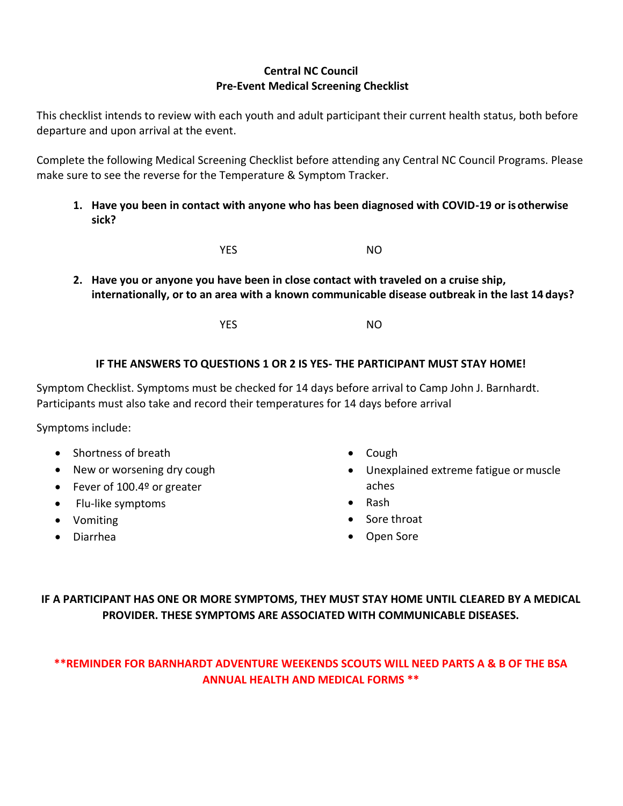#### **Central NC Council Pre-Event Medical Screening Checklist**

This checklist intends to review with each youth and adult participant their current health status, both before departure and upon arrival at the event.

Complete the following Medical Screening Checklist before attending any Central NC Council Programs. Please make sure to see the reverse for the Temperature & Symptom Tracker.

**1. Have you been in contact with anyone who has been diagnosed with COVID-19 or isotherwise sick?**

**YES** NO

**2. Have you or anyone you have been in close contact with traveled on a cruise ship, internationally, or to an area with a known communicable disease outbreak in the last 14 days?**

**YES** NO

### **IF THE ANSWERS TO QUESTIONS 1 OR 2 IS YES- THE PARTICIPANT MUST STAY HOME!**

Symptom Checklist. Symptoms must be checked for 14 days before arrival to Camp John J. Barnhardt. Participants must also take and record their temperatures for 14 days before arrival

Symptoms include:

- Shortness of breath
- New or worsening dry cough
- Fever of 100.4º or greater
- Flu-like symptoms
- Vomiting
- Diarrhea
- Cough
- Unexplained extreme fatigue or muscle aches
- Rash
- Sore throat
- Open Sore

# **IF A PARTICIPANT HAS ONE OR MORE SYMPTOMS, THEY MUST STAY HOME UNTIL CLEARED BY A MEDICAL PROVIDER. THESE SYMPTOMS ARE ASSOCIATED WITH COMMUNICABLE DISEASES.**

# **\*\*REMINDER FOR BARNHARDT ADVENTURE WEEKENDS SCOUTS WILL NEED PARTS A & B OF THE BSA ANNUAL HEALTH AND MEDICAL FORMS \*\***